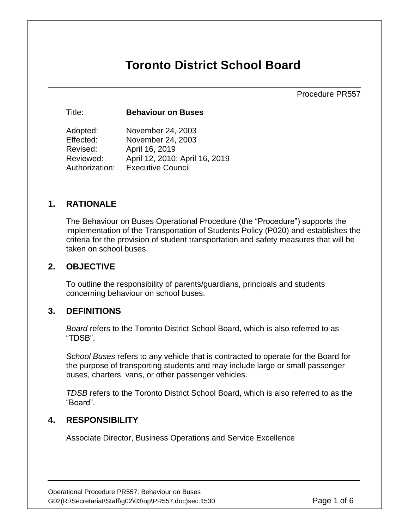# **Toronto District School Board**

Procedure PR557

Title: **Behaviour on Buses** 

| Adopted:       | November 24, 2003              |
|----------------|--------------------------------|
| Effected:      | November 24, 2003              |
| Revised:       | April 16, 2019                 |
| Reviewed:      | April 12, 2010; April 16, 2019 |
| Authorization: | <b>Executive Council</b>       |

#### **1. RATIONALE**

The Behaviour on Buses Operational Procedure (the "Procedure") supports the implementation of the Transportation of Students Policy (P020) and establishes the criteria for the provision of student transportation and safety measures that will be taken on school buses.

#### **2. OBJECTIVE**

To outline the responsibility of parents/guardians, principals and students concerning behaviour on school buses.

#### **3. DEFINITIONS**

*Board* refers to the Toronto District School Board, which is also referred to as "TDSB".

*School Buses* refers to any vehicle that is contracted to operate for the Board for the purpose of transporting students and may include large or small passenger buses, charters, vans, or other passenger vehicles.

*TDSB* refers to the Toronto District School Board, which is also referred to as the "Board".

#### **4. RESPONSIBILITY**

Associate Director, Business Operations and Service Excellence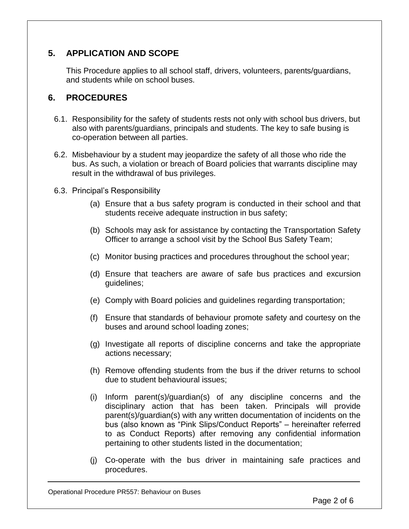# **5. APPLICATION AND SCOPE**

This Procedure applies to all school staff, drivers, volunteers, parents/guardians, and students while on school buses.

### **6. PROCEDURES**

- 6.1. Responsibility for the safety of students rests not only with school bus drivers, but also with parents/guardians, principals and students. The key to safe busing is co-operation between all parties.
- 6.2. Misbehaviour by a student may jeopardize the safety of all those who ride the bus. As such, a violation or breach of Board policies that warrants discipline may result in the withdrawal of bus privileges.
- 6.3. Principal's Responsibility
	- (a) Ensure that a bus safety program is conducted in their school and that students receive adequate instruction in bus safety;
	- (b) Schools may ask for assistance by contacting the Transportation Safety Officer to arrange a school visit by the School Bus Safety Team;
	- (c) Monitor busing practices and procedures throughout the school year;
	- (d) Ensure that teachers are aware of safe bus practices and excursion guidelines;
	- (e) Comply with Board policies and guidelines regarding transportation;
	- (f) Ensure that standards of behaviour promote safety and courtesy on the buses and around school loading zones;
	- (g) Investigate all reports of discipline concerns and take the appropriate actions necessary;
	- (h) Remove offending students from the bus if the driver returns to school due to student behavioural issues;
	- (i) Inform parent(s)/guardian(s) of any discipline concerns and the disciplinary action that has been taken. Principals will provide parent(s)/guardian(s) with any written documentation of incidents on the bus (also known as "Pink Slips/Conduct Reports" – hereinafter referred to as Conduct Reports) after removing any confidential information pertaining to other students listed in the documentation;
	- (j) Co-operate with the bus driver in maintaining safe practices and procedures.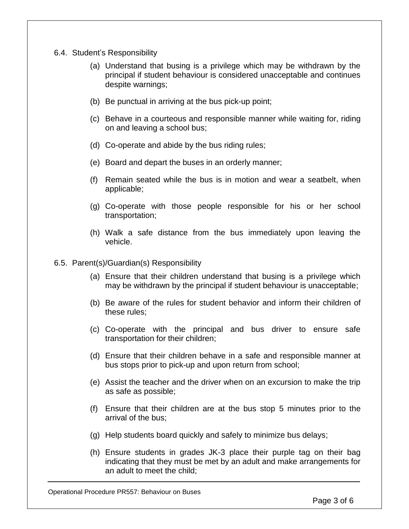- 6.4. Student's Responsibility
	- (a) Understand that busing is a privilege which may be withdrawn by the principal if student behaviour is considered unacceptable and continues despite warnings;
	- (b) Be punctual in arriving at the bus pick-up point;
	- (c) Behave in a courteous and responsible manner while waiting for, riding on and leaving a school bus;
	- (d) Co-operate and abide by the bus riding rules;
	- (e) Board and depart the buses in an orderly manner;
	- (f) Remain seated while the bus is in motion and wear a seatbelt, when applicable;
	- (g) Co-operate with those people responsible for his or her school transportation;
	- (h) Walk a safe distance from the bus immediately upon leaving the vehicle.
- 6.5. Parent(s)/Guardian(s) Responsibility
	- (a) Ensure that their children understand that busing is a privilege which may be withdrawn by the principal if student behaviour is unacceptable;
	- (b) Be aware of the rules for student behavior and inform their children of these rules;
	- (c) Co-operate with the principal and bus driver to ensure safe transportation for their children;
	- (d) Ensure that their children behave in a safe and responsible manner at bus stops prior to pick-up and upon return from school;
	- (e) Assist the teacher and the driver when on an excursion to make the trip as safe as possible;
	- (f) Ensure that their children are at the bus stop 5 minutes prior to the arrival of the bus;
	- (g) Help students board quickly and safely to minimize bus delays;
	- (h) Ensure students in grades JK-3 place their purple tag on their bag indicating that they must be met by an adult and make arrangements for an adult to meet the child;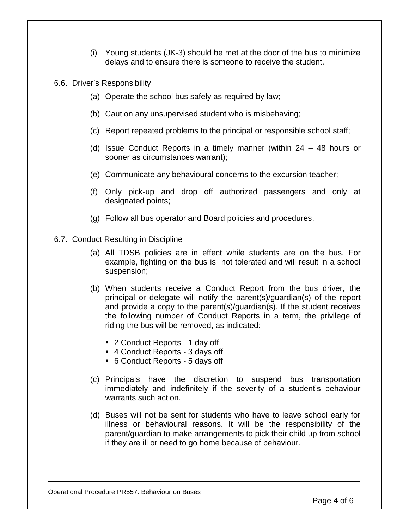- (i) Young students (JK-3) should be met at the door of the bus to minimize delays and to ensure there is someone to receive the student.
- 6.6. Driver's Responsibility
	- (a) Operate the school bus safely as required by law;
	- (b) Caution any unsupervised student who is misbehaving;
	- (c) Report repeated problems to the principal or responsible school staff;
	- (d) Issue Conduct Reports in a timely manner (within 24 48 hours or sooner as circumstances warrant);
	- (e) Communicate any behavioural concerns to the excursion teacher;
	- (f) Only pick-up and drop off authorized passengers and only at designated points;
	- (g) Follow all bus operator and Board policies and procedures.
- 6.7. Conduct Resulting in Discipline
	- (a) All TDSB policies are in effect while students are on the bus. For example, fighting on the bus is not tolerated and will result in a school suspension;
	- (b) When students receive a Conduct Report from the bus driver, the principal or delegate will notify the parent(s)/guardian(s) of the report and provide a copy to the parent(s)/guardian(s). If the student receives the following number of Conduct Reports in a term, the privilege of riding the bus will be removed, as indicated:
		- 2 Conduct Reports 1 day off
		- 4 Conduct Reports 3 days off
		- 6 Conduct Reports 5 days off
	- (c) Principals have the discretion to suspend bus transportation immediately and indefinitely if the severity of a student's behaviour warrants such action.
	- (d) Buses will not be sent for students who have to leave school early for illness or behavioural reasons. It will be the responsibility of the parent/guardian to make arrangements to pick their child up from school if they are ill or need to go home because of behaviour.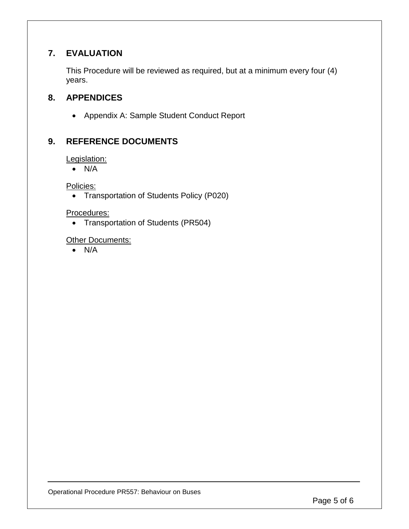# **7. EVALUATION**

This Procedure will be reviewed as required, but at a minimum every four (4) years.

# **8. APPENDICES**

Appendix A: Sample Student Conduct Report

# **9. REFERENCE DOCUMENTS**

Legislation:

 $\bullet$  N/A

Policies:

Transportation of Students Policy (P020)

Procedures:

• Transportation of Students (PR504)

**Other Documents:** 

 $\bullet$  N/A